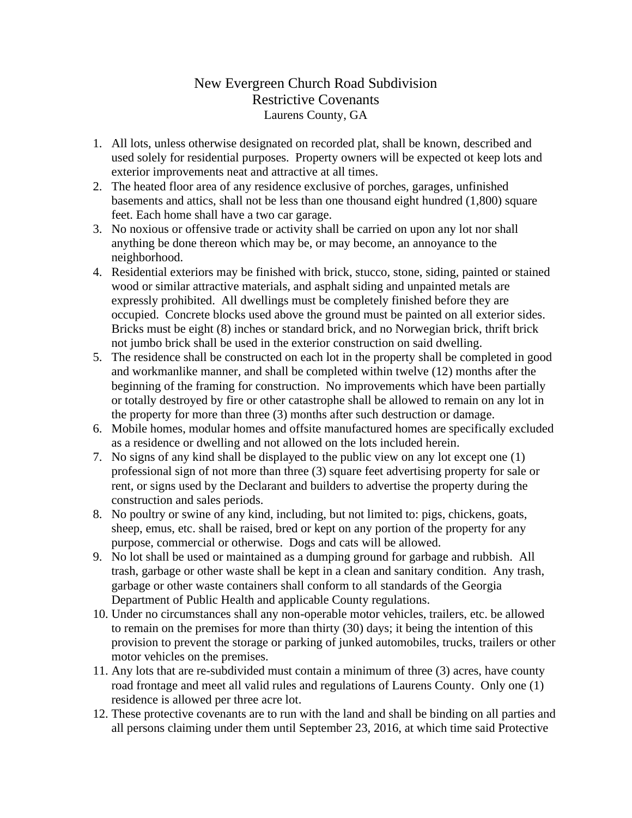## New Evergreen Church Road Subdivision Restrictive Covenants Laurens County, GA

- 1. All lots, unless otherwise designated on recorded plat, shall be known, described and used solely for residential purposes. Property owners will be expected ot keep lots and exterior improvements neat and attractive at all times.
- 2. The heated floor area of any residence exclusive of porches, garages, unfinished basements and attics, shall not be less than one thousand eight hundred (1,800) square feet. Each home shall have a two car garage.
- 3. No noxious or offensive trade or activity shall be carried on upon any lot nor shall anything be done thereon which may be, or may become, an annoyance to the neighborhood.
- 4. Residential exteriors may be finished with brick, stucco, stone, siding, painted or stained wood or similar attractive materials, and asphalt siding and unpainted metals are expressly prohibited. All dwellings must be completely finished before they are occupied. Concrete blocks used above the ground must be painted on all exterior sides. Bricks must be eight (8) inches or standard brick, and no Norwegian brick, thrift brick not jumbo brick shall be used in the exterior construction on said dwelling.
- 5. The residence shall be constructed on each lot in the property shall be completed in good and workmanlike manner, and shall be completed within twelve (12) months after the beginning of the framing for construction. No improvements which have been partially or totally destroyed by fire or other catastrophe shall be allowed to remain on any lot in the property for more than three (3) months after such destruction or damage.
- 6. Mobile homes, modular homes and offsite manufactured homes are specifically excluded as a residence or dwelling and not allowed on the lots included herein.
- 7. No signs of any kind shall be displayed to the public view on any lot except one (1) professional sign of not more than three (3) square feet advertising property for sale or rent, or signs used by the Declarant and builders to advertise the property during the construction and sales periods.
- 8. No poultry or swine of any kind, including, but not limited to: pigs, chickens, goats, sheep, emus, etc. shall be raised, bred or kept on any portion of the property for any purpose, commercial or otherwise. Dogs and cats will be allowed.
- 9. No lot shall be used or maintained as a dumping ground for garbage and rubbish. All trash, garbage or other waste shall be kept in a clean and sanitary condition. Any trash, garbage or other waste containers shall conform to all standards of the Georgia Department of Public Health and applicable County regulations.
- 10. Under no circumstances shall any non-operable motor vehicles, trailers, etc. be allowed to remain on the premises for more than thirty (30) days; it being the intention of this provision to prevent the storage or parking of junked automobiles, trucks, trailers or other motor vehicles on the premises.
- 11. Any lots that are re-subdivided must contain a minimum of three (3) acres, have county road frontage and meet all valid rules and regulations of Laurens County. Only one (1) residence is allowed per three acre lot.
- 12. These protective covenants are to run with the land and shall be binding on all parties and all persons claiming under them until September 23, 2016, at which time said Protective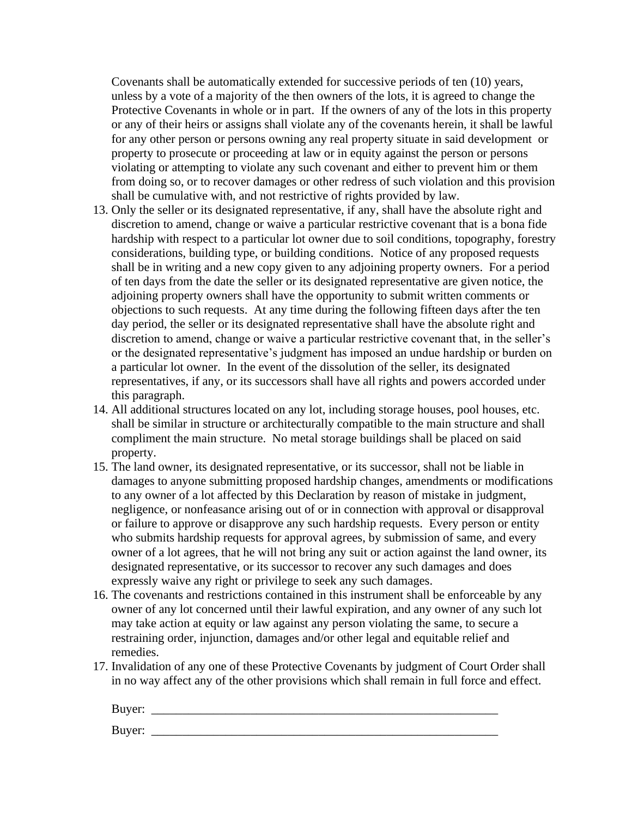Covenants shall be automatically extended for successive periods of ten (10) years, unless by a vote of a majority of the then owners of the lots, it is agreed to change the Protective Covenants in whole or in part. If the owners of any of the lots in this property or any of their heirs or assigns shall violate any of the covenants herein, it shall be lawful for any other person or persons owning any real property situate in said development or property to prosecute or proceeding at law or in equity against the person or persons violating or attempting to violate any such covenant and either to prevent him or them from doing so, or to recover damages or other redress of such violation and this provision shall be cumulative with, and not restrictive of rights provided by law.

- 13. Only the seller or its designated representative, if any, shall have the absolute right and discretion to amend, change or waive a particular restrictive covenant that is a bona fide hardship with respect to a particular lot owner due to soil conditions, topography, forestry considerations, building type, or building conditions. Notice of any proposed requests shall be in writing and a new copy given to any adjoining property owners. For a period of ten days from the date the seller or its designated representative are given notice, the adjoining property owners shall have the opportunity to submit written comments or objections to such requests. At any time during the following fifteen days after the ten day period, the seller or its designated representative shall have the absolute right and discretion to amend, change or waive a particular restrictive covenant that, in the seller's or the designated representative's judgment has imposed an undue hardship or burden on a particular lot owner. In the event of the dissolution of the seller, its designated representatives, if any, or its successors shall have all rights and powers accorded under this paragraph.
- 14. All additional structures located on any lot, including storage houses, pool houses, etc. shall be similar in structure or architecturally compatible to the main structure and shall compliment the main structure. No metal storage buildings shall be placed on said property.
- 15. The land owner, its designated representative, or its successor, shall not be liable in damages to anyone submitting proposed hardship changes, amendments or modifications to any owner of a lot affected by this Declaration by reason of mistake in judgment, negligence, or nonfeasance arising out of or in connection with approval or disapproval or failure to approve or disapprove any such hardship requests. Every person or entity who submits hardship requests for approval agrees, by submission of same, and every owner of a lot agrees, that he will not bring any suit or action against the land owner, its designated representative, or its successor to recover any such damages and does expressly waive any right or privilege to seek any such damages.
- 16. The covenants and restrictions contained in this instrument shall be enforceable by any owner of any lot concerned until their lawful expiration, and any owner of any such lot may take action at equity or law against any person violating the same, to secure a restraining order, injunction, damages and/or other legal and equitable relief and remedies.
- 17. Invalidation of any one of these Protective Covenants by judgment of Court Order shall in no way affect any of the other provisions which shall remain in full force and effect.

| Buyer: |  |
|--------|--|
| Buyer: |  |